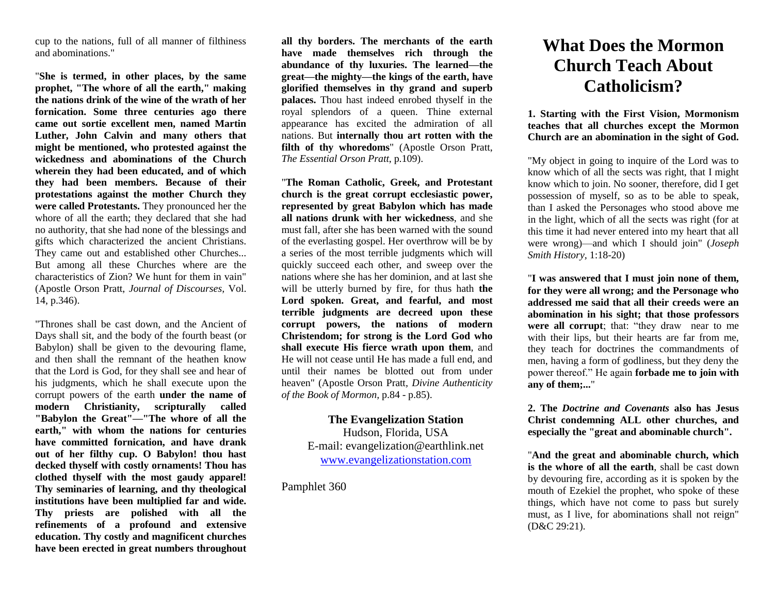cup to the nations, full of all manner of filthiness and abominations."

"**She is termed, in other places, by the same prophet, "The whore of all the earth," making the nations drink of the wine of the wrath of her fornication. Some three centuries ago there came out sortie excellent men, named Martin Luther, John Calvin and many others that might be mentioned, who protested against the wickedness and abominations of the Church wherein they had been educated, and of which they had been members. Because of their protestations against the mother Church they were called Protestants.** They pronounced her the whore of all the earth; they declared that she had no authority, that she had none of the blessings and gifts which characterized the ancient Christians. They came out and established other Churches... But among all these Churches where are the characteristics of Zion? We hunt for them in vain" (Apostle Orson Pratt, *Journal of Discourses,* Vol. 14, p.346).

"Thrones shall be cast down, and the Ancient of Days shall sit, and the body of the fourth beast (or Babylon) shall be given to the devouring flame, and then shall the remnant of the heathen know that the Lord is God, for they shall see and hear of his judgments, which he shall execute upon the corrupt powers of the earth **under the name of modern Christianity, scripturally called "Babylon the Great"—"The whore of all the earth," with whom the nations for centuries have committed fornication, and have drank out of her filthy cup. O Babylon! thou hast decked thyself with costly ornaments! Thou has clothed thyself with the most gaudy apparel! Thy seminaries of learning, and thy theological institutions have been multiplied far and wide. Thy priests are polished with all the refinements of a profound and extensive education. Thy costly and magnificent churches have been erected in great numbers throughout** 

**all thy borders. The merchants of the earth have made themselves rich through the abundance of thy luxuries. The learned—the great—the mighty—the kings of the earth, have glorified themselves in thy grand and superb palaces.** Thou hast indeed enrobed thyself in the royal splendors of a queen. Thine external appearance has excited the admiration of all nations. But **internally thou art rotten with the filth of thy whoredoms**" (Apostle Orson Pratt, *The Essential Orson Pratt*, p.109).

"**The Roman Catholic, Greek, and Protestant church is the great corrupt ecclesiastic power, represented by great Babylon which has made all nations drunk with her wickedness**, and she must fall, after she has been warned with the sound of the everlasting gospel. Her overthrow will be by a series of the most terrible judgments which will quickly succeed each other, and sweep over the nations where she has her dominion, and at last she will be utterly burned by fire, for thus hath **the Lord spoken. Great, and fearful, and most terrible judgments are decreed upon these corrupt powers, the nations of modern Christendom; for strong is the Lord God who shall execute His fierce wrath upon them**, and He will not cease until He has made a full end, and until their names be blotted out from under heaven" (Apostle Orson Pratt*, Divine Authenticity of the Book of Mormon,* p.84 - p.85).

## **The Evangelization Station**  Hudson, Florida, USA E-mail: evangelization@earthlink.net [www.evangelizationstation.com](http://www.pjpiisoe.org/)

Pamphlet 360

## **What Does the Mormon Church Teach About Catholicism?**

**1. Starting with the First Vision, Mormonism teaches that all churches except the Mormon Church are an abomination in the sight of God.**

"My object in going to inquire of the Lord was to know which of all the sects was right, that I might know which to join. No sooner, therefore, did I get possession of myself, so as to be able to speak, than I asked the Personages who stood above me in the light, which of all the sects was right (for at this time it had never entered into my heart that all were wrong)—and which I should join" (*Joseph Smith History,* 1:18-20)

"**I was answered that I must join none of them, for they were all wrong; and the Personage who addressed me said that all their creeds were an abomination in his sight; that those professors were all corrupt**; that: "they draw near to me with their lips, but their hearts are far from me, they teach for doctrines the commandments of men, having a form of godliness, but they deny the power thereof." He again **forbade me to join with any of them;...**"

**2. The** *Doctrine and Covenants* **also has Jesus Christ condemning ALL other churches, and especially the "great and abominable church".**

"**And the great and abominable church, which is the whore of all the earth**, shall be cast down by devouring fire, according as it is spoken by the mouth of Ezekiel the prophet, who spoke of these things, which have not come to pass but surely must, as I live, for abominations shall not reign" (D&C 29:21).